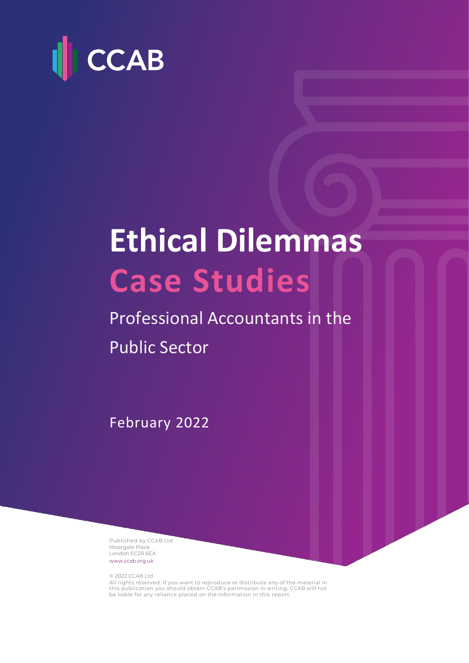

# **Ethical Dilemmas Case Studies**

# Professional Accountants in the Public Sector

February 2022

Published by CCAB Ltd Moorgate Place London EC2R 6EA [www.ccab.org.uk](http://www.ccab.org.uk/)

© 2022 CCAB Ltd

All rights reserved. If you want to reproduce or distribute any of the material in this publication you should obtain CCAB's permission in writing. CCAB will not be liable for any reliance placed on the information in this report.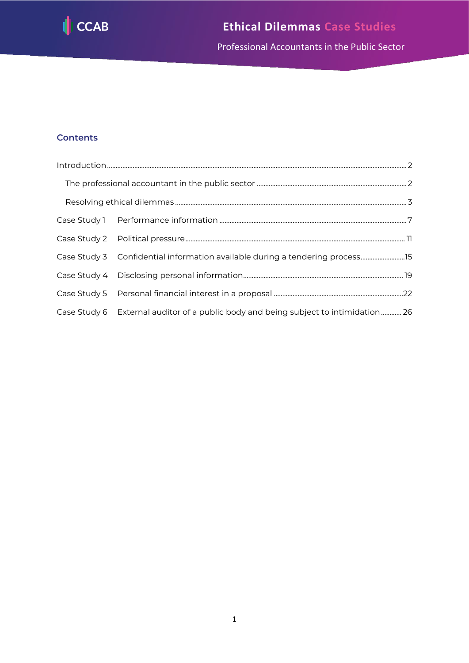

Professional Accountants in the Public Sector

#### **Contents**

| Case Study 3 Confidential information available during a tendering process15         |  |
|--------------------------------------------------------------------------------------|--|
|                                                                                      |  |
|                                                                                      |  |
| Case Study 6 External auditor of a public body and being subject to intimidation  26 |  |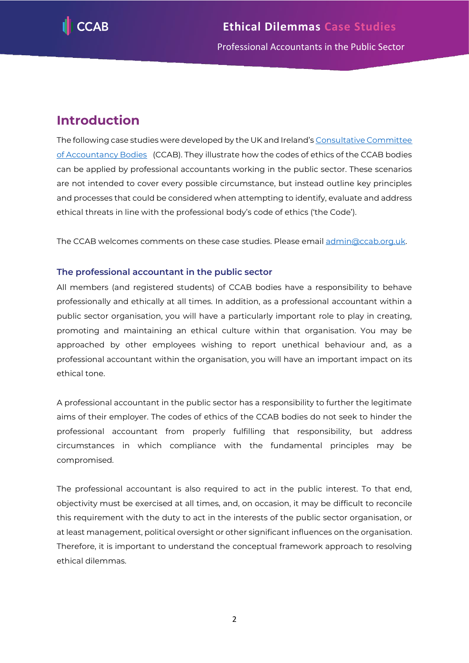

# <span id="page-2-0"></span>**Introduction**

The following case studies were developed by the UK and Ireland's Consultative Committee [of Accountancy Bodies](http://www.ccab.org.uk/) (CCAB). They illustrate how the codes of ethics of the CCAB bodies can be applied by professional accountants working in the public sector. These scenarios are not intended to cover every possible circumstance, but instead outline key principles and processes that could be considered when attempting to identify, evaluate and address ethical threats in line with the professional body's code of ethics ('the Code').

The CCAB welcomes comments on these case studies. Please email [admin@ccab.org.uk.](mailto:admin@ccab.org.uk)

#### <span id="page-2-1"></span>**The professional accountant in the public sector**

All members (and registered students) of CCAB bodies have a responsibility to behave professionally and ethically at all times. In addition, as a professional accountant within a public sector organisation, you will have a particularly important role to play in creating, promoting and maintaining an ethical culture within that organisation. You may be approached by other employees wishing to report unethical behaviour and, as a professional accountant within the organisation, you will have an important impact on its ethical tone.

A professional accountant in the public sector has a responsibility to further the legitimate aims of their employer. The codes of ethics of the CCAB bodies do not seek to hinder the professional accountant from properly fulfilling that responsibility, but address circumstances in which compliance with the fundamental principles may be compromised.

The professional accountant is also required to act in the public interest. To that end, objectivity must be exercised at all times, and, on occasion, it may be difficult to reconcile this requirement with the duty to act in the interests of the public sector organisation, or at least management, political oversight or other significant influences on the organisation. Therefore, it is important to understand the conceptual framework approach to resolving ethical dilemmas.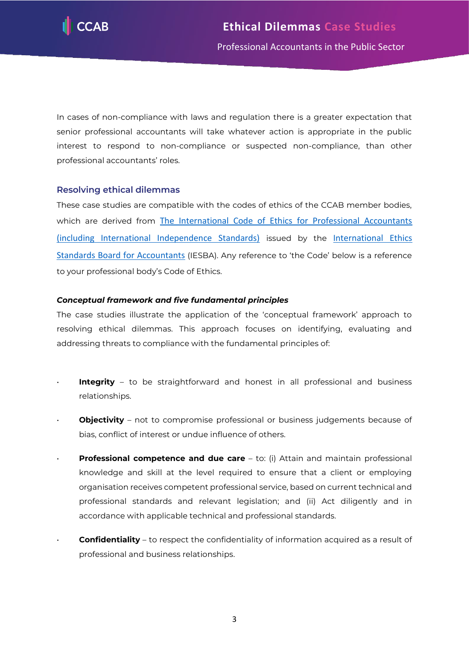

In cases of non-compliance with laws and regulation there is a greater expectation that senior professional accountants will take whatever action is appropriate in the public interest to respond to non-compliance or suspected non-compliance, than other professional accountants' roles.

#### <span id="page-3-0"></span>**Resolving ethical dilemmas**

These case studies are compatible with the codes of ethics of the CCAB member bodies, which are derived from [The International Code of Ethics for Professional Accountants](https://www.ethicsboard.org/international-code-ethics-professional-accountants)  [\(including International Independence Standards\)](https://www.ethicsboard.org/international-code-ethics-professional-accountants) issued by the [International Ethics](https://www.ethicsboard.org/)  [Standards Board for Accountants](https://www.ethicsboard.org/) (IESBA). Any reference to 'the Code' below is a reference to your professional body's Code of Ethics.

#### *Conceptual framework and five fundamental principles*

The case studies illustrate the application of the 'conceptual framework' approach to resolving ethical dilemmas. This approach focuses on identifying, evaluating and addressing threats to compliance with the fundamental principles of:

- **Integrity** to be straightforward and honest in all professional and business relationships.
- **Objectivity** not to compromise professional or business judgements because of bias, conflict of interest or undue influence of others.
- **Professional competence and due care** to: (i) Attain and maintain professional knowledge and skill at the level required to ensure that a client or employing organisation receives competent professional service, based on current technical and professional standards and relevant legislation; and (ii) Act diligently and in accordance with applicable technical and professional standards.
- **Confidentiality** to respect the confidentiality of information acquired as a result of professional and business relationships.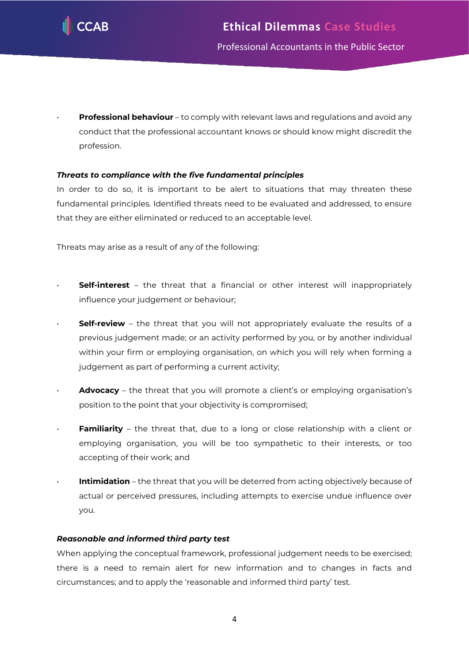

• **Professional behaviour** – to comply with relevant laws and regulations and avoid any conduct that the professional accountant knows or should know might discredit the profession.

#### *Threats to compliance with the five fundamental principles*

In order to do so, it is important to be alert to situations that may threaten these fundamental principles. Identified threats need to be evaluated and addressed, to ensure that they are either eliminated or reduced to an acceptable level.

Threats may arise as a result of any of the following:

- **Self-interest** the threat that a financial or other interest will inappropriately influence your judgement or behaviour;
- **Self-review** the threat that you will not appropriately evaluate the results of a previous judgement made; or an activity performed by you, or by another individual within your firm or employing organisation, on which you will rely when forming a judgement as part of performing a current activity;
- **Advocacy** the threat that you will promote a client's or employing organisation's position to the point that your objectivity is compromised;
- **Familiarity** the threat that, due to a long or close relationship with a client or employing organisation, you will be too sympathetic to their interests, or too accepting of their work; and
- **Intimidation** the threat that you will be deterred from acting objectively because of actual or perceived pressures, including attempts to exercise undue influence over you.

#### *Reasonable and informed third party test*

When applying the conceptual framework, professional judgement needs to be exercised; there is a need to remain alert for new information and to changes in facts and circumstances; and to apply the 'reasonable and informed third party' test.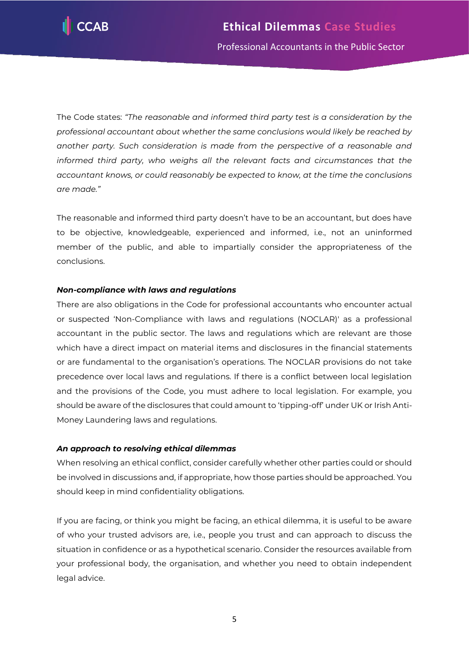

The Code states: *"The reasonable and informed third party test is a consideration by the professional accountant about whether the same conclusions would likely be reached by another party. Such consideration is made from the perspective of a reasonable and informed third party, who weighs all the relevant facts and circumstances that the accountant knows, or could reasonably be expected to know, at the time the conclusions are made."*

The reasonable and informed third party doesn't have to be an accountant, but does have to be objective, knowledgeable, experienced and informed, i.e., not an uninformed member of the public, and able to impartially consider the appropriateness of the conclusions.

#### *Non-compliance with laws and regulations*

There are also obligations in the Code for professional accountants who encounter actual or suspected 'Non-Compliance with laws and regulations (NOCLAR)' as a professional accountant in the public sector. The laws and regulations which are relevant are those which have a direct impact on material items and disclosures in the financial statements or are fundamental to the organisation's operations. The NOCLAR provisions do not take precedence over local laws and regulations. If there is a conflict between local legislation and the provisions of the Code, you must adhere to local legislation. For example, you should be aware of the disclosures that could amount to 'tipping-off' under UK or Irish Anti-Money Laundering laws and regulations.

#### *An approach to resolving ethical dilemmas*

When resolving an ethical conflict, consider carefully whether other parties could or should be involved in discussions and, if appropriate, how those parties should be approached. You should keep in mind confidentiality obligations.

If you are facing, or think you might be facing, an ethical dilemma, it is useful to be aware of who your trusted advisors are, i.e., people you trust and can approach to discuss the situation in confidence or as a hypothetical scenario. Consider the resources available from your professional body, the organisation, and whether you need to obtain independent legal advice.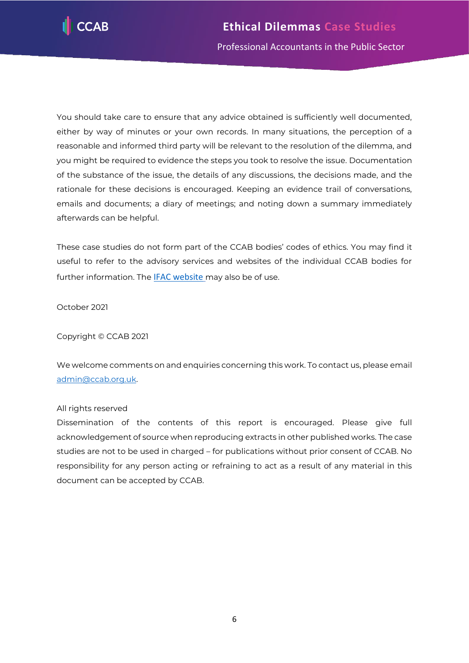

You should take care to ensure that any advice obtained is sufficiently well documented, either by way of minutes or your own records. In many situations, the perception of a reasonable and informed third party will be relevant to the resolution of the dilemma, and you might be required to evidence the steps you took to resolve the issue. Documentation of the substance of the issue, the details of any discussions, the decisions made, and the rationale for these decisions is encouraged. Keeping an evidence trail of conversations, emails and documents; a diary of meetings; and noting down a summary immediately afterwards can be helpful.

These case studies do not form part of the CCAB bodies' codes of ethics. You may find it useful to refer to the advisory services and websites of the individual CCAB bodies for further information. The [IFAC website](https://www.ifac.org/) may also be of use.

October 2021

Copyright © CCAB 2021

We welcome comments on and enquiries concerning this work. To contact us, please email [admin@ccab.org.uk.](mailto:admin@ccab.org.uk)

#### All rights reserved

Dissemination of the contents of this report is encouraged. Please give full acknowledgement of source when reproducing extracts in other published works. The case studies are not to be used in charged – for publications without prior consent of CCAB. No responsibility for any person acting or refraining to act as a result of any material in this document can be accepted by CCAB.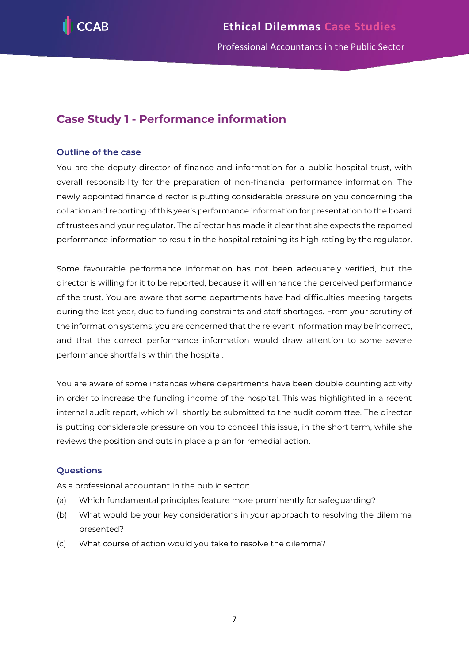

## <span id="page-7-0"></span>**Case Study 1 - Performance information**

#### **Outline of the case**

You are the deputy director of finance and information for a public hospital trust, with overall responsibility for the preparation of non-financial performance information. The newly appointed finance director is putting considerable pressure on you concerning the collation and reporting of this year's performance information for presentation to the board of trustees and your regulator. The director has made it clear that she expects the reported performance information to result in the hospital retaining its high rating by the regulator.

Some favourable performance information has not been adequately verified, but the director is willing for it to be reported, because it will enhance the perceived performance of the trust. You are aware that some departments have had difficulties meeting targets during the last year, due to funding constraints and staff shortages. From your scrutiny of the information systems, you are concerned that the relevant information may be incorrect, and that the correct performance information would draw attention to some severe performance shortfalls within the hospital.

You are aware of some instances where departments have been double counting activity in order to increase the funding income of the hospital. This was highlighted in a recent internal audit report, which will shortly be submitted to the audit committee. The director is putting considerable pressure on you to conceal this issue, in the short term, while she reviews the position and puts in place a plan for remedial action.

#### **Questions**

As a professional accountant in the public sector:

- (a) Which fundamental principles feature more prominently for safeguarding?
- (b) What would be your key considerations in your approach to resolving the dilemma presented?
- (c) What course of action would you take to resolve the dilemma?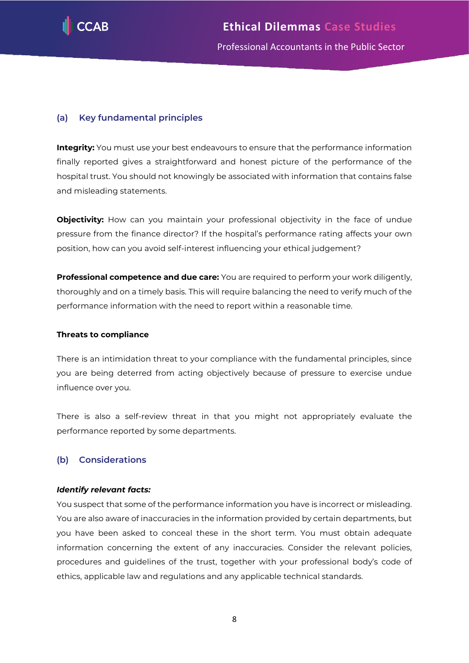

#### **(a) Key fundamental principles**

**Integrity:** You must use your best endeavours to ensure that the performance information finally reported gives a straightforward and honest picture of the performance of the hospital trust. You should not knowingly be associated with information that contains false and misleading statements.

**Objectivity:** How can you maintain your professional objectivity in the face of undue pressure from the finance director? If the hospital's performance rating affects your own position, how can you avoid self-interest influencing your ethical judgement?

**Professional competence and due care:** You are required to perform your work diligently, thoroughly and on a timely basis. This will require balancing the need to verify much of the performance information with the need to report within a reasonable time.

#### **Threats to compliance**

There is an intimidation threat to your compliance with the fundamental principles, since you are being deterred from acting objectively because of pressure to exercise undue influence over you.

There is also a self-review threat in that you might not appropriately evaluate the performance reported by some departments.

#### **(b) Considerations**

#### *Identify relevant facts:*

You suspect that some of the performance information you have is incorrect or misleading. You are also aware of inaccuracies in the information provided by certain departments, but you have been asked to conceal these in the short term. You must obtain adequate information concerning the extent of any inaccuracies. Consider the relevant policies, procedures and guidelines of the trust, together with your professional body's code of ethics, applicable law and regulations and any applicable technical standards.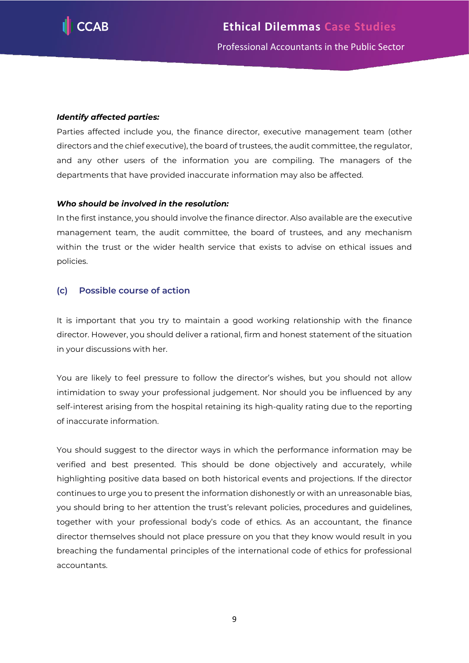

#### *Identify affected parties:*

Parties affected include you, the finance director, executive management team (other directors and the chief executive), the board of trustees, the audit committee, the regulator, and any other users of the information you are compiling. The managers of the departments that have provided inaccurate information may also be affected.

#### *Who should be involved in the resolution:*

In the first instance, you should involve the finance director. Also available are the executive management team, the audit committee, the board of trustees, and any mechanism within the trust or the wider health service that exists to advise on ethical issues and policies.

#### **(c) Possible course of action**

It is important that you try to maintain a good working relationship with the finance director. However, you should deliver a rational, firm and honest statement of the situation in your discussions with her.

You are likely to feel pressure to follow the director's wishes, but you should not allow intimidation to sway your professional judgement. Nor should you be influenced by any self-interest arising from the hospital retaining its high-quality rating due to the reporting of inaccurate information.

You should suggest to the director ways in which the performance information may be verified and best presented. This should be done objectively and accurately, while highlighting positive data based on both historical events and projections. If the director continues to urge you to present the information dishonestly or with an unreasonable bias, you should bring to her attention the trust's relevant policies, procedures and guidelines, together with your professional body's code of ethics. As an accountant, the finance director themselves should not place pressure on you that they know would result in you breaching the fundamental principles of the international code of ethics for professional accountants.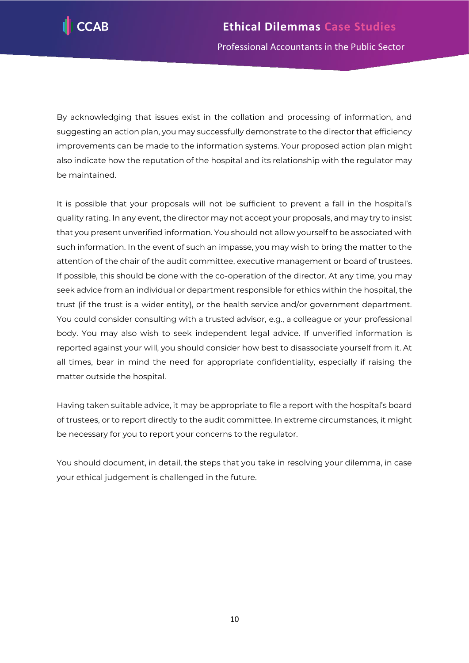

By acknowledging that issues exist in the collation and processing of information, and suggesting an action plan, you may successfully demonstrate to the director that efficiency improvements can be made to the information systems. Your proposed action plan might also indicate how the reputation of the hospital and its relationship with the regulator may be maintained.

It is possible that your proposals will not be sufficient to prevent a fall in the hospital's quality rating. In any event, the director may not accept your proposals, and may try to insist that you present unverified information. You should not allow yourself to be associated with such information. In the event of such an impasse, you may wish to bring the matter to the attention of the chair of the audit committee, executive management or board of trustees. If possible, this should be done with the co-operation of the director. At any time, you may seek advice from an individual or department responsible for ethics within the hospital, the trust (if the trust is a wider entity), or the health service and/or government department. You could consider consulting with a trusted advisor, e.g., a colleague or your professional body. You may also wish to seek independent legal advice. If unverified information is reported against your will, you should consider how best to disassociate yourself from it. At all times, bear in mind the need for appropriate confidentiality, especially if raising the matter outside the hospital.

Having taken suitable advice, it may be appropriate to file a report with the hospital's board of trustees, or to report directly to the audit committee. In extreme circumstances, it might be necessary for you to report your concerns to the regulator.

You should document, in detail, the steps that you take in resolving your dilemma, in case your ethical judgement is challenged in the future.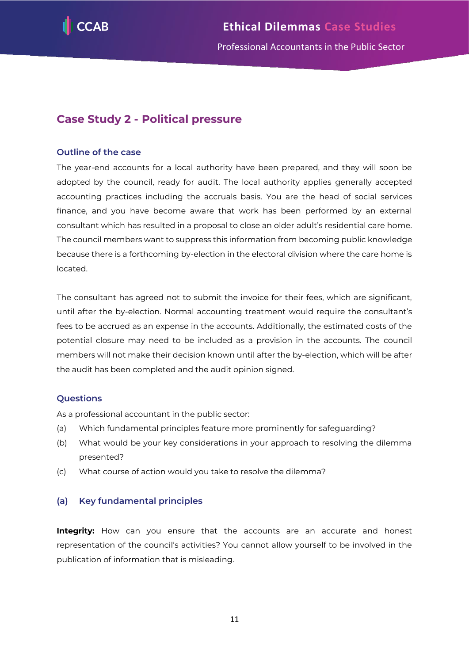

### <span id="page-11-0"></span>**Case Study 2 - Political pressure**

#### **Outline of the case**

The year-end accounts for a local authority have been prepared, and they will soon be adopted by the council, ready for audit. The local authority applies generally accepted accounting practices including the accruals basis. You are the head of social services finance, and you have become aware that work has been performed by an external consultant which has resulted in a proposal to close an older adult's residential care home. The council members want to suppress this information from becoming public knowledge because there is a forthcoming by-election in the electoral division where the care home is located.

The consultant has agreed not to submit the invoice for their fees, which are significant, until after the by-election. Normal accounting treatment would require the consultant's fees to be accrued as an expense in the accounts. Additionally, the estimated costs of the potential closure may need to be included as a provision in the accounts. The council members will not make their decision known until after the by-election, which will be after the audit has been completed and the audit opinion signed.

#### **Questions**

As a professional accountant in the public sector:

- (a) Which fundamental principles feature more prominently for safeguarding?
- (b) What would be your key considerations in your approach to resolving the dilemma presented?
- (c) What course of action would you take to resolve the dilemma?

#### **(a) Key fundamental principles**

**Integrity:** How can you ensure that the accounts are an accurate and honest representation of the council's activities? You cannot allow yourself to be involved in the publication of information that is misleading.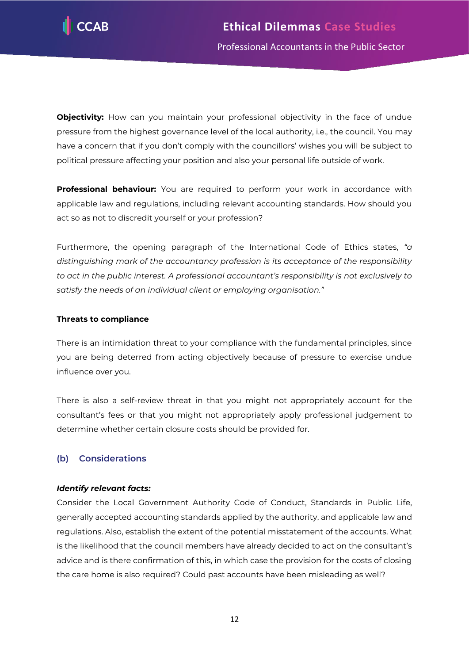

**Objectivity:** How can you maintain your professional objectivity in the face of undue pressure from the highest governance level of the local authority, i.e., the council. You may have a concern that if you don't comply with the councillors' wishes you will be subject to political pressure affecting your position and also your personal life outside of work.

**Professional behaviour:** You are required to perform your work in accordance with applicable law and regulations, including relevant accounting standards. How should you act so as not to discredit yourself or your profession?

Furthermore, the opening paragraph of the International Code of Ethics states, *"a distinguishing mark of the accountancy profession is its acceptance of the responsibility to act in the public interest. A professional accountant's responsibility is not exclusively to satisfy the needs of an individual client or employing organisation."*

#### **Threats to compliance**

There is an intimidation threat to your compliance with the fundamental principles, since you are being deterred from acting objectively because of pressure to exercise undue influence over you.

There is also a self-review threat in that you might not appropriately account for the consultant's fees or that you might not appropriately apply professional judgement to determine whether certain closure costs should be provided for.

#### **(b) Considerations**

#### *Identify relevant facts:*

Consider the Local Government Authority Code of Conduct, Standards in Public Life, generally accepted accounting standards applied by the authority, and applicable law and regulations. Also, establish the extent of the potential misstatement of the accounts. What is the likelihood that the council members have already decided to act on the consultant's advice and is there confirmation of this, in which case the provision for the costs of closing the care home is also required? Could past accounts have been misleading as well?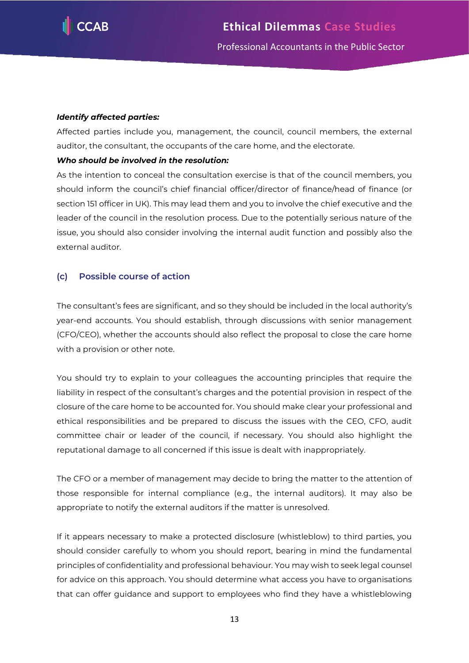

#### *Identify affected parties:*

Affected parties include you, management, the council, council members, the external auditor, the consultant, the occupants of the care home, and the electorate.

#### *Who should be involved in the resolution:*

As the intention to conceal the consultation exercise is that of the council members, you should inform the council's chief financial officer/director of finance/head of finance (or section 151 officer in UK). This may lead them and you to involve the chief executive and the leader of the council in the resolution process. Due to the potentially serious nature of the issue, you should also consider involving the internal audit function and possibly also the external auditor.

#### **(c) Possible course of action**

The consultant's fees are significant, and so they should be included in the local authority's year-end accounts. You should establish, through discussions with senior management (CFO/CEO), whether the accounts should also reflect the proposal to close the care home with a provision or other note.

You should try to explain to your colleagues the accounting principles that require the liability in respect of the consultant's charges and the potential provision in respect of the closure of the care home to be accounted for. You should make clear your professional and ethical responsibilities and be prepared to discuss the issues with the CEO, CFO, audit committee chair or leader of the council, if necessary. You should also highlight the reputational damage to all concerned if this issue is dealt with inappropriately.

The CFO or a member of management may decide to bring the matter to the attention of those responsible for internal compliance (e.g., the internal auditors). It may also be appropriate to notify the external auditors if the matter is unresolved.

If it appears necessary to make a protected disclosure (whistleblow) to third parties, you should consider carefully to whom you should report, bearing in mind the fundamental principles of confidentiality and professional behaviour. You may wish to seek legal counsel for advice on this approach. You should determine what access you have to organisations that can offer guidance and support to employees who find they have a whistleblowing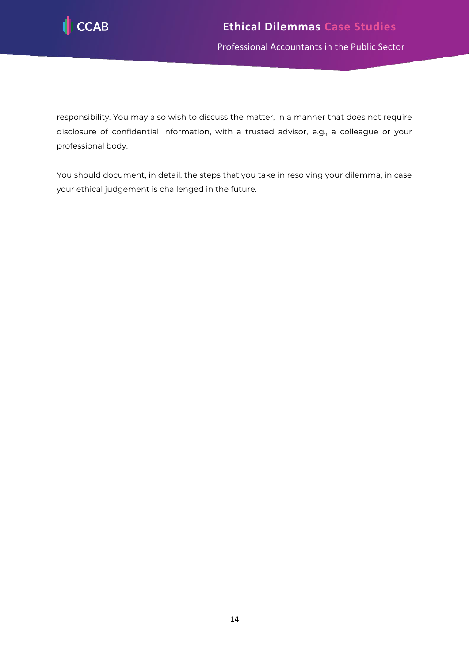

responsibility. You may also wish to discuss the matter, in a manner that does not require disclosure of confidential information, with a trusted advisor, e.g., a colleague or your professional body.

You should document, in detail, the steps that you take in resolving your dilemma, in case your ethical judgement is challenged in the future.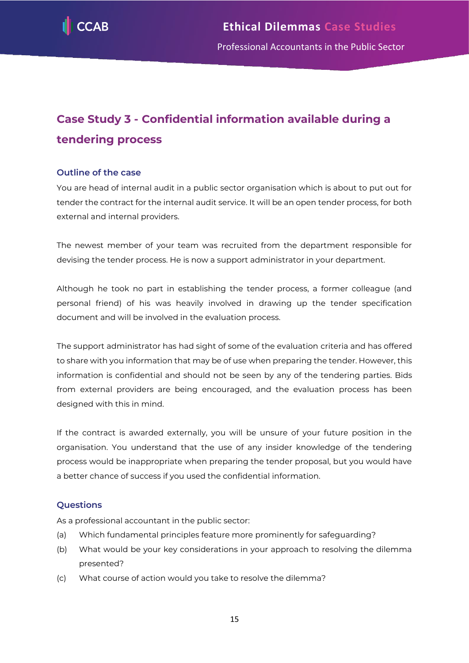

# <span id="page-15-0"></span>**Case Study 3 - Confidential information available during a tendering process**

#### **Outline of the case**

You are head of internal audit in a public sector organisation which is about to put out for tender the contract for the internal audit service. It will be an open tender process, for both external and internal providers.

The newest member of your team was recruited from the department responsible for devising the tender process. He is now a support administrator in your department.

Although he took no part in establishing the tender process, a former colleague (and personal friend) of his was heavily involved in drawing up the tender specification document and will be involved in the evaluation process.

The support administrator has had sight of some of the evaluation criteria and has offered to share with you information that may be of use when preparing the tender. However, this information is confidential and should not be seen by any of the tendering parties. Bids from external providers are being encouraged, and the evaluation process has been designed with this in mind.

If the contract is awarded externally, you will be unsure of your future position in the organisation. You understand that the use of any insider knowledge of the tendering process would be inappropriate when preparing the tender proposal, but you would have a better chance of success if you used the confidential information.

#### **Questions**

As a professional accountant in the public sector:

- (a) Which fundamental principles feature more prominently for safeguarding?
- (b) What would be your key considerations in your approach to resolving the dilemma presented?
- (c) What course of action would you take to resolve the dilemma?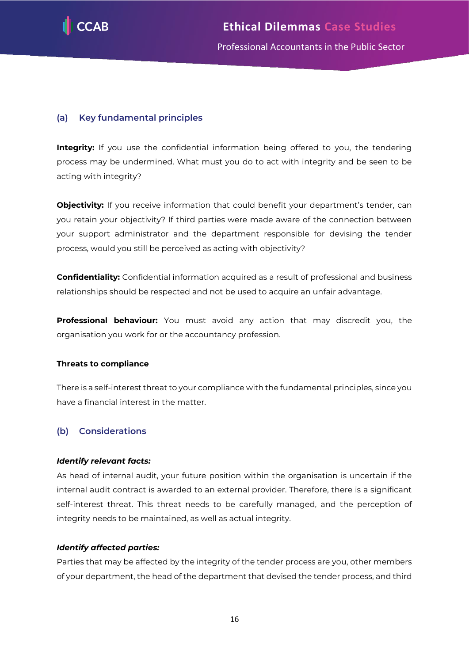

#### **(a) Key fundamental principles**

**Integrity:** If you use the confidential information being offered to you, the tendering process may be undermined. What must you do to act with integrity and be seen to be acting with integrity?

**Objectivity:** If you receive information that could benefit your department's tender, can you retain your objectivity? If third parties were made aware of the connection between your support administrator and the department responsible for devising the tender process, would you still be perceived as acting with objectivity?

**Confidentiality:** Confidential information acquired as a result of professional and business relationships should be respected and not be used to acquire an unfair advantage.

**Professional behaviour:** You must avoid any action that may discredit you, the organisation you work for or the accountancy profession.

#### **Threats to compliance**

There is a self-interest threat to your compliance with the fundamental principles, since you have a financial interest in the matter.

#### **(b) Considerations**

#### *Identify relevant facts:*

As head of internal audit, your future position within the organisation is uncertain if the internal audit contract is awarded to an external provider. Therefore, there is a significant self-interest threat. This threat needs to be carefully managed, and the perception of integrity needs to be maintained, as well as actual integrity.

#### *Identify affected parties:*

Parties that may be affected by the integrity of the tender process are you, other members of your department, the head of the department that devised the tender process, and third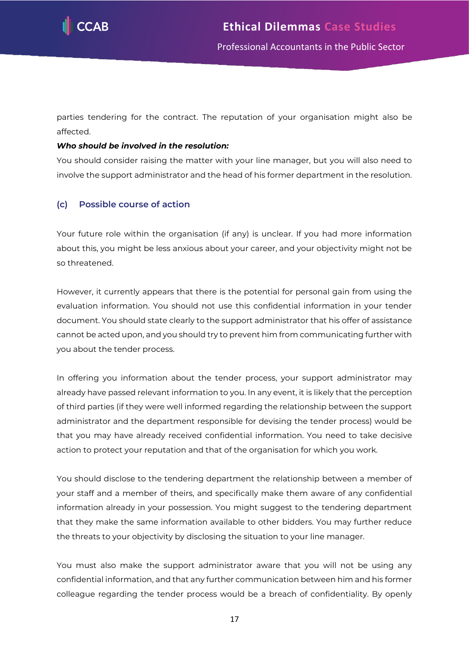

parties tendering for the contract. The reputation of your organisation might also be affected.

#### *Who should be involved in the resolution:*

You should consider raising the matter with your line manager, but you will also need to involve the support administrator and the head of his former department in the resolution.

#### **(c) Possible course of action**

Your future role within the organisation (if any) is unclear. If you had more information about this, you might be less anxious about your career, and your objectivity might not be so threatened.

However, it currently appears that there is the potential for personal gain from using the evaluation information. You should not use this confidential information in your tender document. You should state clearly to the support administrator that his offer of assistance cannot be acted upon, and you should try to prevent him from communicating further with you about the tender process.

In offering you information about the tender process, your support administrator may already have passed relevant information to you. In any event, it is likely that the perception of third parties (if they were well informed regarding the relationship between the support administrator and the department responsible for devising the tender process) would be that you may have already received confidential information. You need to take decisive action to protect your reputation and that of the organisation for which you work.

You should disclose to the tendering department the relationship between a member of your staff and a member of theirs, and specifically make them aware of any confidential information already in your possession. You might suggest to the tendering department that they make the same information available to other bidders. You may further reduce the threats to your objectivity by disclosing the situation to your line manager.

You must also make the support administrator aware that you will not be using any confidential information, and that any further communication between him and his former colleague regarding the tender process would be a breach of confidentiality. By openly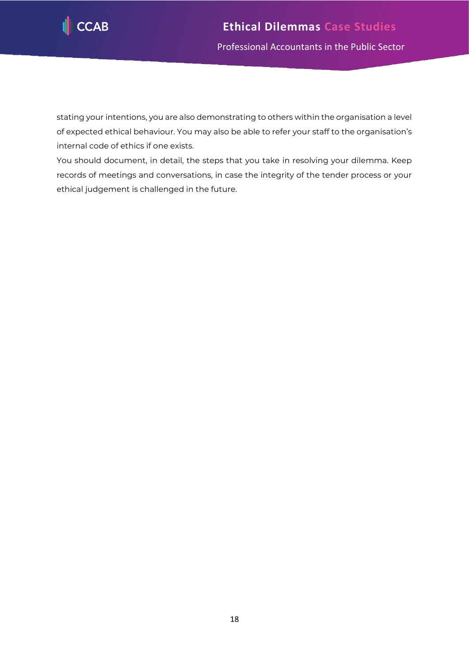

stating your intentions, you are also demonstrating to others within the organisation a level of expected ethical behaviour. You may also be able to refer your staff to the organisation's internal code of ethics if one exists.

You should document, in detail, the steps that you take in resolving your dilemma. Keep records of meetings and conversations, in case the integrity of the tender process or your ethical judgement is challenged in the future.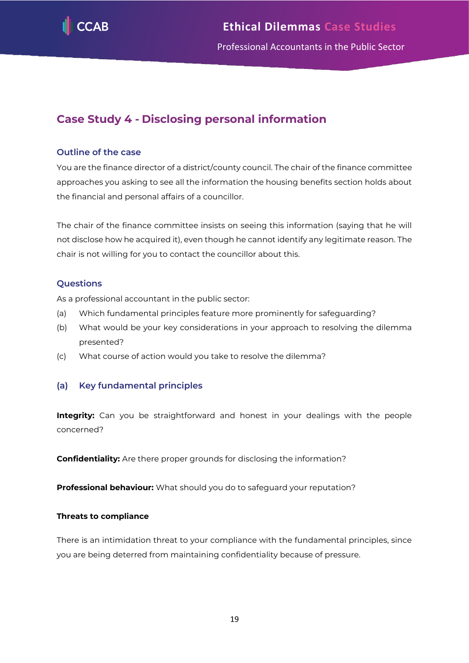

# <span id="page-19-0"></span>**Case Study 4 - Disclosing personal information**

#### **Outline of the case**

You are the finance director of a district/county council. The chair of the finance committee approaches you asking to see all the information the housing benefits section holds about the financial and personal affairs of a councillor.

The chair of the finance committee insists on seeing this information (saying that he will not disclose how he acquired it), even though he cannot identify any legitimate reason. The chair is not willing for you to contact the councillor about this.

#### **Questions**

As a professional accountant in the public sector:

- (a) Which fundamental principles feature more prominently for safeguarding?
- (b) What would be your key considerations in your approach to resolving the dilemma presented?
- (c) What course of action would you take to resolve the dilemma?

#### **(a) Key fundamental principles**

**Integrity:** Can you be straightforward and honest in your dealings with the people concerned?

**Confidentiality:** Are there proper grounds for disclosing the information?

**Professional behaviour:** What should you do to safeguard your reputation?

#### **Threats to compliance**

There is an intimidation threat to your compliance with the fundamental principles, since you are being deterred from maintaining confidentiality because of pressure.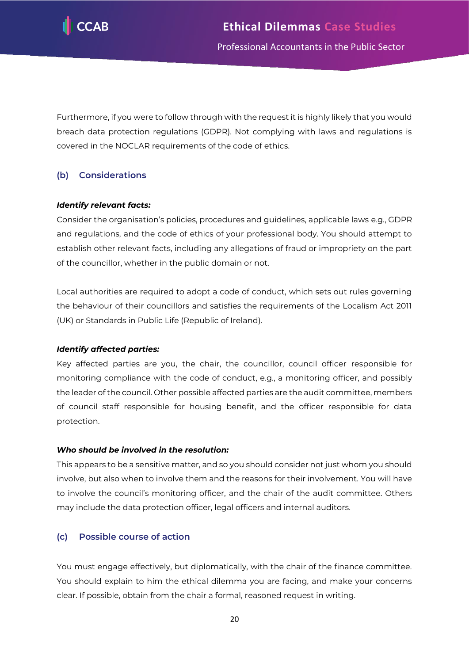

Furthermore, if you were to follow through with the request it is highly likely that you would breach data protection regulations (GDPR). Not complying with laws and regulations is covered in the NOCLAR requirements of the code of ethics.

#### **(b) Considerations**

#### *Identify relevant facts:*

Consider the organisation's policies, procedures and guidelines, applicable laws e.g., GDPR and regulations, and the code of ethics of your professional body. You should attempt to establish other relevant facts, including any allegations of fraud or impropriety on the part of the councillor, whether in the public domain or not.

Local authorities are required to adopt a code of conduct, which sets out rules governing the behaviour of their councillors and satisfies the requirements of the Localism Act 2011 (UK) or Standards in Public Life (Republic of Ireland).

#### *Identify affected parties:*

Key affected parties are you, the chair, the councillor, council officer responsible for monitoring compliance with the code of conduct, e.g., a monitoring officer, and possibly the leader of the council. Other possible affected parties are the audit committee, members of council staff responsible for housing benefit, and the officer responsible for data protection.

#### *Who should be involved in the resolution:*

This appears to be a sensitive matter, and so you should consider not just whom you should involve, but also when to involve them and the reasons for their involvement. You will have to involve the council's monitoring officer, and the chair of the audit committee. Others may include the data protection officer, legal officers and internal auditors.

#### **(c) Possible course of action**

You must engage effectively, but diplomatically, with the chair of the finance committee. You should explain to him the ethical dilemma you are facing, and make your concerns clear. If possible, obtain from the chair a formal, reasoned request in writing.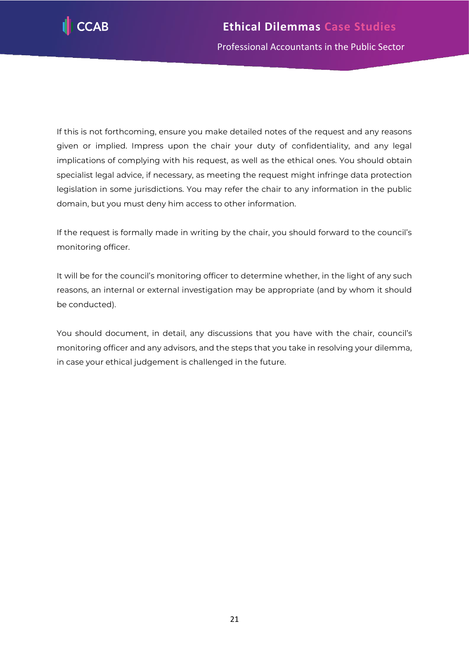

If this is not forthcoming, ensure you make detailed notes of the request and any reasons given or implied. Impress upon the chair your duty of confidentiality, and any legal implications of complying with his request, as well as the ethical ones. You should obtain specialist legal advice, if necessary, as meeting the request might infringe data protection legislation in some jurisdictions. You may refer the chair to any information in the public domain, but you must deny him access to other information.

If the request is formally made in writing by the chair, you should forward to the council's monitoring officer.

It will be for the council's monitoring officer to determine whether, in the light of any such reasons, an internal or external investigation may be appropriate (and by whom it should be conducted).

You should document, in detail, any discussions that you have with the chair, council's monitoring officer and any advisors, and the steps that you take in resolving your dilemma, in case your ethical judgement is challenged in the future.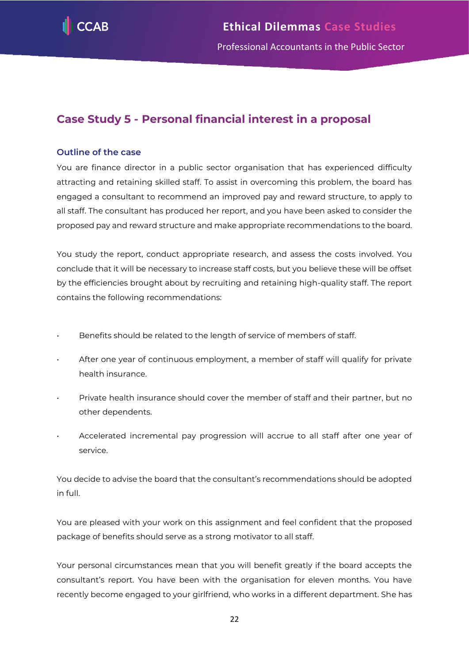

# <span id="page-22-0"></span>**Case Study 5 - Personal financial interest in a proposal**

#### **Outline of the case**

You are finance director in a public sector organisation that has experienced difficulty attracting and retaining skilled staff. To assist in overcoming this problem, the board has engaged a consultant to recommend an improved pay and reward structure, to apply to all staff. The consultant has produced her report, and you have been asked to consider the proposed pay and reward structure and make appropriate recommendations to the board.

You study the report, conduct appropriate research, and assess the costs involved. You conclude that it will be necessary to increase staff costs, but you believe these will be offset by the efficiencies brought about by recruiting and retaining high-quality staff. The report contains the following recommendations:

- Benefits should be related to the length of service of members of staff.
- After one year of continuous employment, a member of staff will qualify for private health insurance.
- Private health insurance should cover the member of staff and their partner, but no other dependents.
- Accelerated incremental pay progression will accrue to all staff after one year of service.

You decide to advise the board that the consultant's recommendations should be adopted in full.

You are pleased with your work on this assignment and feel confident that the proposed package of benefits should serve as a strong motivator to all staff.

Your personal circumstances mean that you will benefit greatly if the board accepts the consultant's report. You have been with the organisation for eleven months. You have recently become engaged to your girlfriend, who works in a different department. She has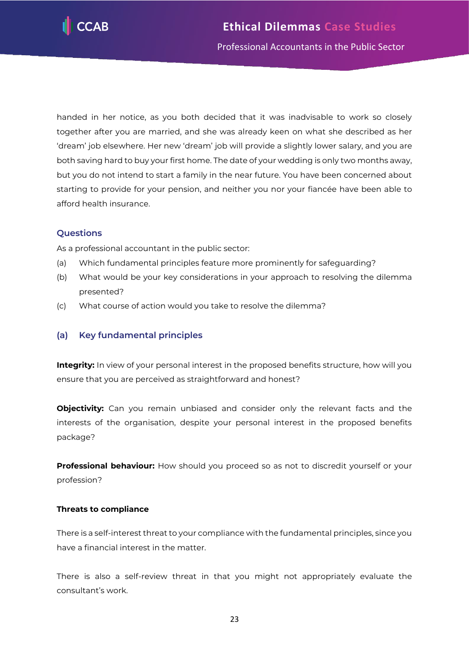

handed in her notice, as you both decided that it was inadvisable to work so closely together after you are married, and she was already keen on what she described as her 'dream' job elsewhere. Her new 'dream' job will provide a slightly lower salary, and you are both saving hard to buy your first home. The date of your wedding is only two months away, but you do not intend to start a family in the near future. You have been concerned about starting to provide for your pension, and neither you nor your fiancée have been able to afford health insurance.

#### **Questions**

As a professional accountant in the public sector:

- (a) Which fundamental principles feature more prominently for safeguarding?
- (b) What would be your key considerations in your approach to resolving the dilemma presented?
- (c) What course of action would you take to resolve the dilemma?

#### **(a) Key fundamental principles**

**Integrity:** In view of your personal interest in the proposed benefits structure, how will you ensure that you are perceived as straightforward and honest?

**Objectivity:** Can you remain unbiased and consider only the relevant facts and the interests of the organisation, despite your personal interest in the proposed benefits package?

**Professional behaviour:** How should you proceed so as not to discredit yourself or your profession?

#### **Threats to compliance**

There is a self-interest threat to your compliance with the fundamental principles, since you have a financial interest in the matter.

There is also a self-review threat in that you might not appropriately evaluate the consultant's work.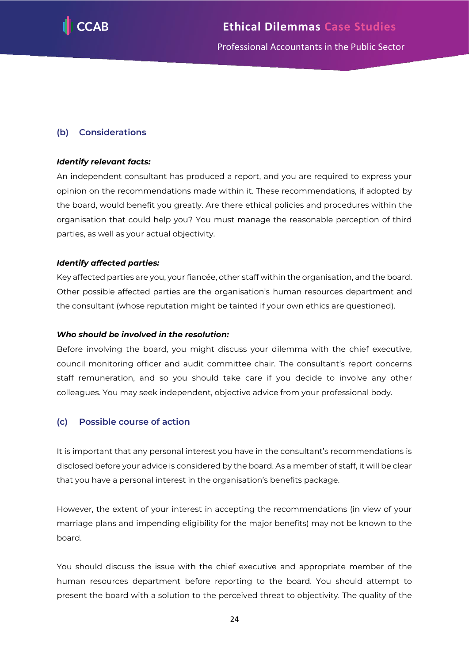

#### **(b) Considerations**

#### *Identify relevant facts:*

An independent consultant has produced a report, and you are required to express your opinion on the recommendations made within it. These recommendations, if adopted by the board, would benefit you greatly. Are there ethical policies and procedures within the organisation that could help you? You must manage the reasonable perception of third parties, as well as your actual objectivity.

#### *Identify affected parties:*

Key affected parties are you, your fiancée, other staff within the organisation, and the board. Other possible affected parties are the organisation's human resources department and the consultant (whose reputation might be tainted if your own ethics are questioned).

#### *Who should be involved in the resolution:*

Before involving the board, you might discuss your dilemma with the chief executive, council monitoring officer and audit committee chair. The consultant's report concerns staff remuneration, and so you should take care if you decide to involve any other colleagues. You may seek independent, objective advice from your professional body.

#### **(c) Possible course of action**

It is important that any personal interest you have in the consultant's recommendations is disclosed before your advice is considered by the board. As a member of staff, it will be clear that you have a personal interest in the organisation's benefits package.

However, the extent of your interest in accepting the recommendations (in view of your marriage plans and impending eligibility for the major benefits) may not be known to the board.

You should discuss the issue with the chief executive and appropriate member of the human resources department before reporting to the board. You should attempt to present the board with a solution to the perceived threat to objectivity. The quality of the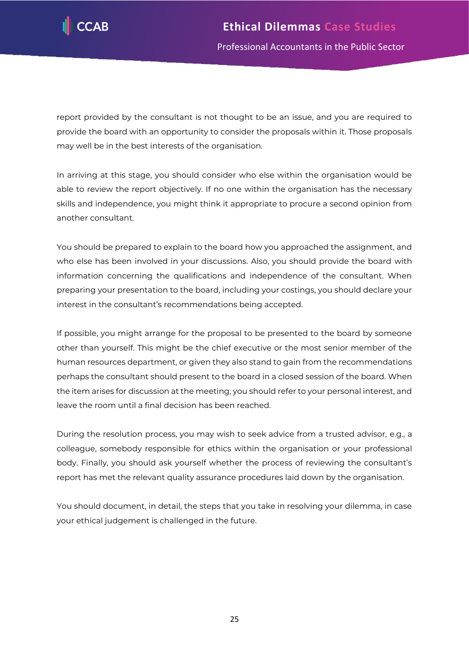

report provided by the consultant is not thought to be an issue, and you are required to provide the board with an opportunity to consider the proposals within it. Those proposals may well be in the best interests of the organisation.

In arriving at this stage, you should consider who else within the organisation would be able to review the report objectively. If no one within the organisation has the necessary skills and independence, you might think it appropriate to procure a second opinion from another consultant.

You should be prepared to explain to the board how you approached the assignment, and who else has been involved in your discussions. Also, you should provide the board with information concerning the qualifications and independence of the consultant. When preparing your presentation to the board, including your costings, you should declare your interest in the consultant's recommendations being accepted.

If possible, you might arrange for the proposal to be presented to the board by someone other than yourself. This might be the chief executive or the most senior member of the human resources department, or given they also stand to gain from the recommendations perhaps the consultant should present to the board in a closed session of the board. When the item arises for discussion at the meeting, you should refer to your personal interest, and leave the room until a final decision has been reached.

During the resolution process, you may wish to seek advice from a trusted advisor, e.g., a colleague, somebody responsible for ethics within the organisation or your professional body. Finally, you should ask yourself whether the process of reviewing the consultant's report has met the relevant quality assurance procedures laid down by the organisation.

You should document, in detail, the steps that you take in resolving your dilemma, in case your ethical judgement is challenged in the future.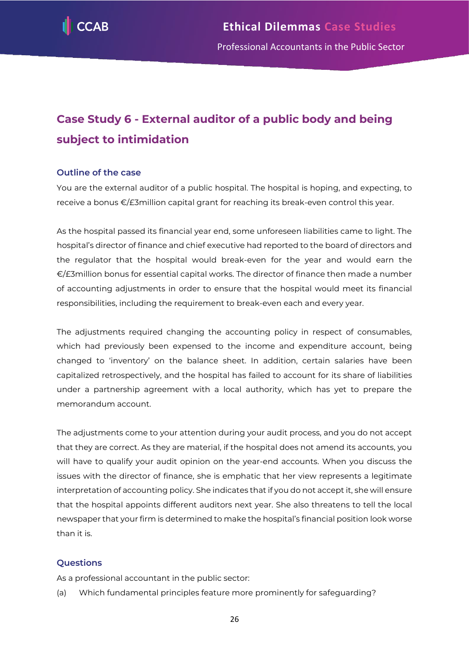

# <span id="page-26-0"></span>**Case Study 6 - External auditor of a public body and being subject to intimidation**

#### **Outline of the case**

You are the external auditor of a public hospital. The hospital is hoping, and expecting, to receive a bonus €/£3million capital grant for reaching its break-even control this year.

As the hospital passed its financial year end, some unforeseen liabilities came to light. The hospital's director of finance and chief executive had reported to the board of directors and the regulator that the hospital would break-even for the year and would earn the €/£3million bonus for essential capital works. The director of finance then made a number of accounting adjustments in order to ensure that the hospital would meet its financial responsibilities, including the requirement to break-even each and every year.

The adjustments required changing the accounting policy in respect of consumables, which had previously been expensed to the income and expenditure account, being changed to 'inventory' on the balance sheet. In addition, certain salaries have been capitalized retrospectively, and the hospital has failed to account for its share of liabilities under a partnership agreement with a local authority, which has yet to prepare the memorandum account.

The adjustments come to your attention during your audit process, and you do not accept that they are correct. As they are material, if the hospital does not amend its accounts, you will have to qualify your audit opinion on the year-end accounts. When you discuss the issues with the director of finance, she is emphatic that her view represents a legitimate interpretation of accounting policy. She indicates that if you do not accept it, she will ensure that the hospital appoints different auditors next year. She also threatens to tell the local newspaper that your firm is determined to make the hospital's financial position look worse than it is.

#### **Questions**

As a professional accountant in the public sector:

(a) Which fundamental principles feature more prominently for safeguarding?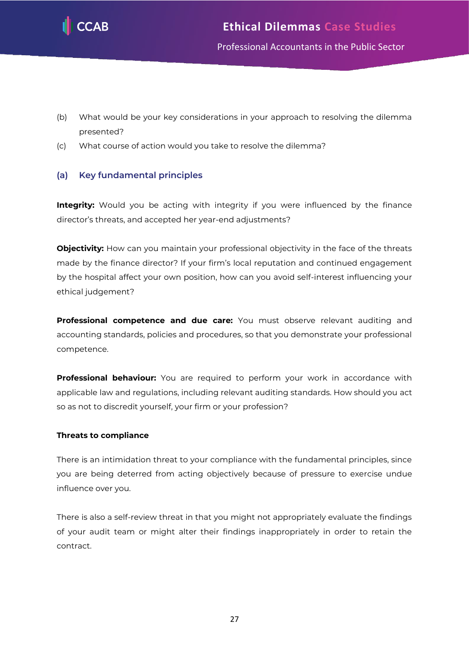

- (b) What would be your key considerations in your approach to resolving the dilemma presented?
- (c) What course of action would you take to resolve the dilemma?

#### **(a) Key fundamental principles**

**Integrity:** Would you be acting with integrity if you were influenced by the finance director's threats, and accepted her year-end adjustments?

**Objectivity:** How can you maintain your professional objectivity in the face of the threats made by the finance director? If your firm's local reputation and continued engagement by the hospital affect your own position, how can you avoid self-interest influencing your ethical judgement?

**Professional competence and due care:** You must observe relevant auditing and accounting standards, policies and procedures, so that you demonstrate your professional competence.

**Professional behaviour:** You are required to perform your work in accordance with applicable law and regulations, including relevant auditing standards. How should you act so as not to discredit yourself, your firm or your profession?

#### **Threats to compliance**

There is an intimidation threat to your compliance with the fundamental principles, since you are being deterred from acting objectively because of pressure to exercise undue influence over you.

There is also a self-review threat in that you might not appropriately evaluate the findings of your audit team or might alter their findings inappropriately in order to retain the contract.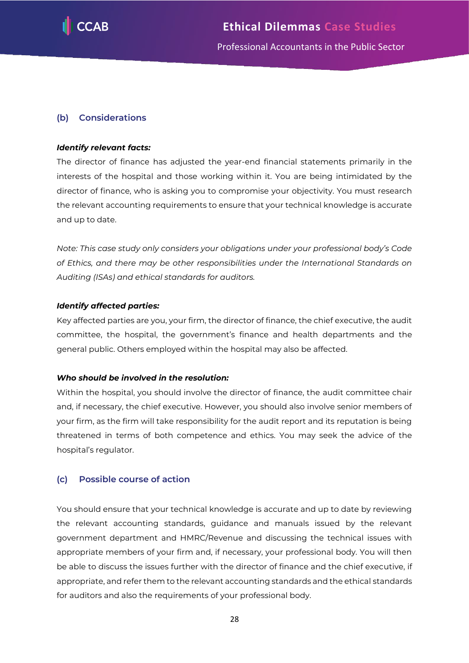

#### **(b) Considerations**

#### *Identify relevant facts:*

The director of finance has adjusted the year-end financial statements primarily in the interests of the hospital and those working within it. You are being intimidated by the director of finance, who is asking you to compromise your objectivity. You must research the relevant accounting requirements to ensure that your technical knowledge is accurate and up to date.

*Note: This case study only considers your obligations under your professional body's Code of Ethics, and there may be other responsibilities under the International Standards on Auditing (ISAs) and ethical standards for auditors.*

#### *Identify affected parties:*

Key affected parties are you, your firm, the director of finance, the chief executive, the audit committee, the hospital, the government's finance and health departments and the general public. Others employed within the hospital may also be affected.

#### *Who should be involved in the resolution:*

Within the hospital, you should involve the director of finance, the audit committee chair and, if necessary, the chief executive. However, you should also involve senior members of your firm, as the firm will take responsibility for the audit report and its reputation is being threatened in terms of both competence and ethics. You may seek the advice of the hospital's regulator.

#### **(c) Possible course of action**

You should ensure that your technical knowledge is accurate and up to date by reviewing the relevant accounting standards, guidance and manuals issued by the relevant government department and HMRC/Revenue and discussing the technical issues with appropriate members of your firm and, if necessary, your professional body. You will then be able to discuss the issues further with the director of finance and the chief executive, if appropriate, and refer them to the relevant accounting standards and the ethical standards for auditors and also the requirements of your professional body.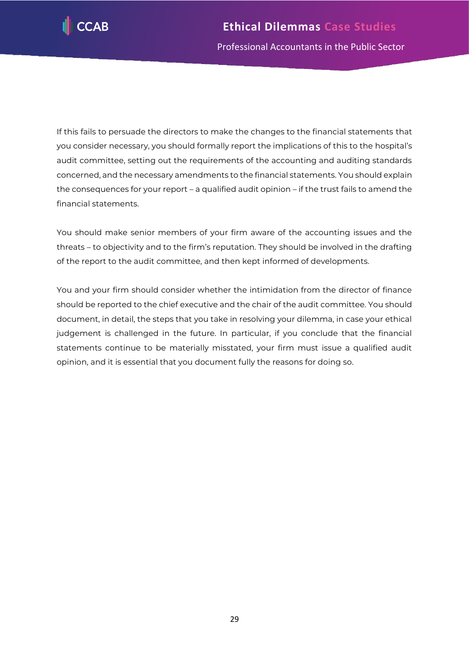

If this fails to persuade the directors to make the changes to the financial statements that you consider necessary, you should formally report the implications of this to the hospital's audit committee, setting out the requirements of the accounting and auditing standards concerned, and the necessary amendments to the financial statements. You should explain the consequences for your report – a qualified audit opinion – if the trust fails to amend the financial statements.

You should make senior members of your firm aware of the accounting issues and the threats – to objectivity and to the firm's reputation. They should be involved in the drafting of the report to the audit committee, and then kept informed of developments.

You and your firm should consider whether the intimidation from the director of finance should be reported to the chief executive and the chair of the audit committee. You should document, in detail, the steps that you take in resolving your dilemma, in case your ethical judgement is challenged in the future. In particular, if you conclude that the financial statements continue to be materially misstated, your firm must issue a qualified audit opinion, and it is essential that you document fully the reasons for doing so.